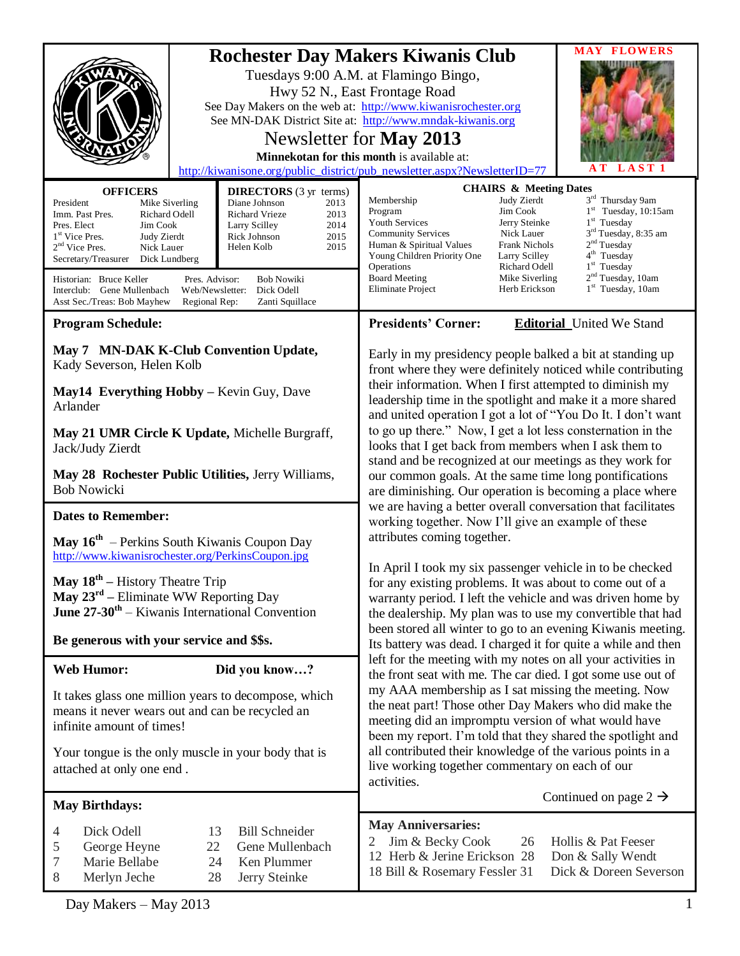|                                                                                                                                                                                                                                                                                                                              |                                                                                                                                                                                                                                                                            | <b>MAY FLOWERS</b><br><b>Rochester Day Makers Kiwanis Club</b><br>Tuesdays 9:00 A.M. at Flamingo Bingo,<br>Hwy 52 N., East Frontage Road<br>See Day Makers on the web at: http://www.kiwanisrochester.org<br>See MN-DAK District Site at: http://www.mndak-kiwanis.org<br>Newsletter for May 2013<br>Minnekotan for this month is available at:<br>LAST <sub>1</sub><br>A T<br>http://kiwanisone.org/public_district/pub_newsletter.aspx?NewsletterID=77                                                                                                                                                                    |   |  |
|------------------------------------------------------------------------------------------------------------------------------------------------------------------------------------------------------------------------------------------------------------------------------------------------------------------------------|----------------------------------------------------------------------------------------------------------------------------------------------------------------------------------------------------------------------------------------------------------------------------|-----------------------------------------------------------------------------------------------------------------------------------------------------------------------------------------------------------------------------------------------------------------------------------------------------------------------------------------------------------------------------------------------------------------------------------------------------------------------------------------------------------------------------------------------------------------------------------------------------------------------------|---|--|
| <b>OFFICERS</b><br>President<br>Mike Siverling<br>Richard Odell<br>Imm. Past Pres.<br>Pres. Elect<br>Jim Cook<br>1 <sup>st</sup> Vice Pres.<br>Judy Zierdt<br>$2nd$ Vice Pres.<br>Nick Lauer<br>Secretary/Treasurer<br>Dick Lundberg<br>Historian: Bruce Keller<br>Interclub: Gene Mullenbach<br>Asst Sec./Treas: Bob Mayhew | <b>DIRECTORS</b> (3 yr terms)<br>Diane Johnson<br>2013<br>2013<br><b>Richard Vrieze</b><br>2014<br>Larry Scilley<br>2015<br>Rick Johnson<br>Helen Kolb<br>2015<br>Pres. Advisor:<br><b>Bob Nowiki</b><br>Web/Newsletter:<br>Dick Odell<br>Zanti Squillace<br>Regional Rep: | <b>CHAIRS &amp; Meeting Dates</b><br>3rd Thursday 9am<br>Membership<br>Judy Zierdt<br>$1st$ Tuesday, 10:15am<br>Jim Cook<br>Program<br>Youth Services<br>Jerry Steinke<br>$1st$ Tuesday<br>3 <sup>rd</sup> Tuesday, 8:35 am<br>Nick Lauer<br><b>Community Services</b><br>2 <sup>nd</sup> Tuesday<br>Human & Spiritual Values<br>Frank Nichols<br>4 <sup>th</sup> Tuesday<br>Young Children Priority One<br>Larry Scilley<br>$1st$ Tuesday<br>Operations<br>Richard Odell<br>2 <sup>nd</sup> Tuesday, 10am<br><b>Board Meeting</b><br>Mike Siverling<br>1 <sup>st</sup> Tuesday, 10am<br>Eliminate Project<br>Herb Erickson |   |  |
| <b>Program Schedule:</b>                                                                                                                                                                                                                                                                                                     |                                                                                                                                                                                                                                                                            | <b>Presidents' Corner:</b><br><b>Editorial</b> United We Stand                                                                                                                                                                                                                                                                                                                                                                                                                                                                                                                                                              |   |  |
| May 7 MN-DAK K-Club Convention Update,<br>Kady Severson, Helen Kolb<br>May14 Everything Hobby - Kevin Guy, Dave<br>Arlander                                                                                                                                                                                                  |                                                                                                                                                                                                                                                                            | Early in my presidency people balked a bit at standing up<br>front where they were definitely noticed while contributing<br>their information. When I first attempted to diminish my<br>leadership time in the spotlight and make it a more shared<br>and united operation I got a lot of "You Do It. I don't want<br>to go up there." Now, I get a lot less consternation in the<br>looks that I get back from members when I ask them to                                                                                                                                                                                  |   |  |
| May 21 UMR Circle K Update, Michelle Burgraff,<br>Jack/Judy Zierdt                                                                                                                                                                                                                                                           |                                                                                                                                                                                                                                                                            |                                                                                                                                                                                                                                                                                                                                                                                                                                                                                                                                                                                                                             |   |  |
| May 28 Rochester Public Utilities, Jerry Williams,<br><b>Bob Nowicki</b>                                                                                                                                                                                                                                                     |                                                                                                                                                                                                                                                                            | stand and be recognized at our meetings as they work for<br>our common goals. At the same time long pontifications<br>are diminishing. Our operation is becoming a place where<br>we are having a better overall conversation that facilitates<br>working together. Now I'll give an example of these<br>attributes coming together.                                                                                                                                                                                                                                                                                        |   |  |
| <b>Dates to Remember:</b>                                                                                                                                                                                                                                                                                                    |                                                                                                                                                                                                                                                                            |                                                                                                                                                                                                                                                                                                                                                                                                                                                                                                                                                                                                                             |   |  |
| <b>May 16<sup>th</sup></b> – Perkins South Kiwanis Coupon Day<br>http://www.kiwanisrochester.org/PerkinsCoupon.jpg                                                                                                                                                                                                           |                                                                                                                                                                                                                                                                            |                                                                                                                                                                                                                                                                                                                                                                                                                                                                                                                                                                                                                             |   |  |
| May 18 <sup>th</sup> – History Theatre Trip<br><b>May 23<sup>rd</sup></b> – Eliminate WW Reporting Day<br><b>June 27-30<sup>th</sup></b> – Kiwanis International Convention                                                                                                                                                  |                                                                                                                                                                                                                                                                            | In April I took my six passenger vehicle in to be checked<br>for any existing problems. It was about to come out of a<br>warranty period. I left the vehicle and was driven home by<br>the dealership. My plan was to use my convertible that had<br>been stored all winter to go to an evening Kiwanis meeting.<br>Its battery was dead. I charged it for quite a while and then                                                                                                                                                                                                                                           |   |  |
| Be generous with your service and \$\$s.                                                                                                                                                                                                                                                                                     |                                                                                                                                                                                                                                                                            |                                                                                                                                                                                                                                                                                                                                                                                                                                                                                                                                                                                                                             |   |  |
| <b>Web Humor:</b>                                                                                                                                                                                                                                                                                                            | Did you know?                                                                                                                                                                                                                                                              | left for the meeting with my notes on all your activities in<br>the front seat with me. The car died. I got some use out of                                                                                                                                                                                                                                                                                                                                                                                                                                                                                                 |   |  |
| It takes glass one million years to decompose, which<br>means it never wears out and can be recycled an<br>infinite amount of times!                                                                                                                                                                                         |                                                                                                                                                                                                                                                                            | my AAA membership as I sat missing the meeting. Now<br>the neat part! Those other Day Makers who did make the<br>meeting did an impromptu version of what would have<br>been my report. I'm told that they shared the spotlight and<br>all contributed their knowledge of the various points in a<br>live working together commentary on each of our<br>activities.                                                                                                                                                                                                                                                         |   |  |
| Your tongue is the only muscle in your body that is<br>attached at only one end.                                                                                                                                                                                                                                             |                                                                                                                                                                                                                                                                            |                                                                                                                                                                                                                                                                                                                                                                                                                                                                                                                                                                                                                             |   |  |
| <b>May Birthdays:</b>                                                                                                                                                                                                                                                                                                        |                                                                                                                                                                                                                                                                            | Continued on page $2 \rightarrow$                                                                                                                                                                                                                                                                                                                                                                                                                                                                                                                                                                                           |   |  |
| Dick Odell<br>4<br>5<br>George Heyne<br>Marie Bellabe<br>7<br>Merlyn Jeche<br>8                                                                                                                                                                                                                                              | <b>Bill Schneider</b><br>13<br>Gene Mullenbach<br>22<br>Ken Plummer<br>24<br>Jerry Steinke<br>28                                                                                                                                                                           | <b>May Anniversaries:</b><br>Jim & Becky Cook<br>26<br>Hollis & Pat Feeser<br>2<br>12 Herb & Jerine Erickson 28<br>Don & Sally Wendt<br>Dick & Doreen Severson<br>18 Bill & Rosemary Fessler 31                                                                                                                                                                                                                                                                                                                                                                                                                             |   |  |
| Day Makers - May 2013                                                                                                                                                                                                                                                                                                        |                                                                                                                                                                                                                                                                            |                                                                                                                                                                                                                                                                                                                                                                                                                                                                                                                                                                                                                             | 1 |  |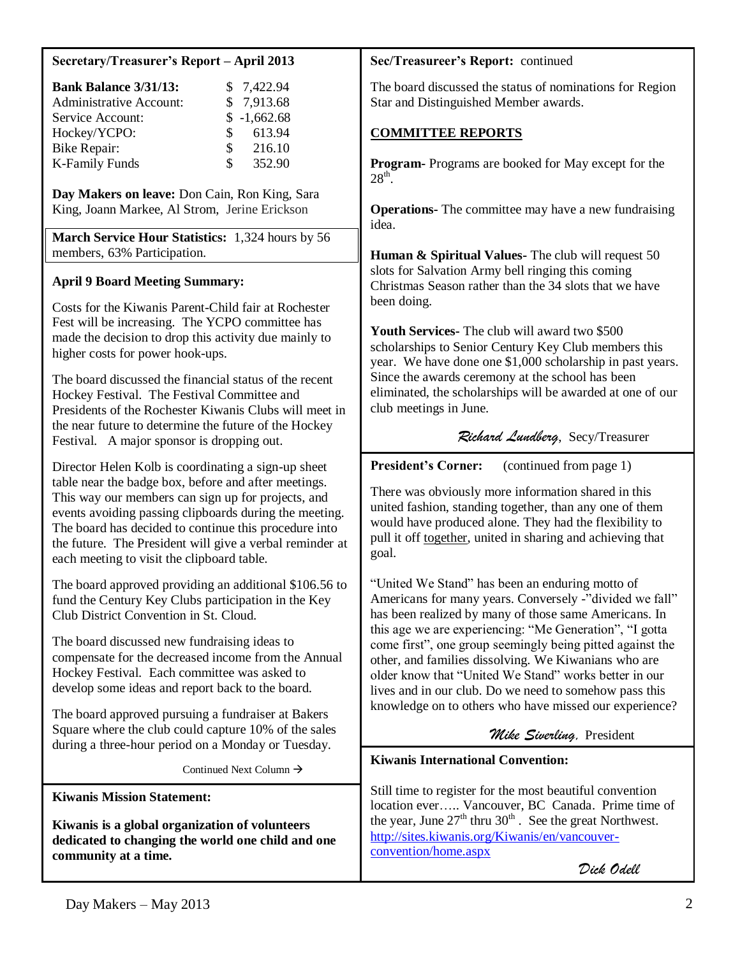## **Secretary/Treasurer's Report – April 2013**

| <b>Bank Balance 3/31/13:</b>   |               | \$7,422.94    |
|--------------------------------|---------------|---------------|
| <b>Administrative Account:</b> |               | \$7,913.68    |
| Service Account:               |               | $$ -1,662.68$ |
| Hockey/YCPO:                   | S.            | 613.94        |
| Bike Repair:                   | $\mathcal{S}$ | 216.10        |
| <b>K-Family Funds</b>          | \$.           | 352.90        |

**Day Makers on leave:** Don Cain, Ron King, Sara King, Joann Markee, Al Strom, Jerine Erickson

**March Service Hour Statistics:** 1,324 hours by 56 members, 63% Participation.

# **April 9 Board Meeting Summary:**

Costs for the Kiwanis Parent-Child fair at Rochester Fest will be increasing. The YCPO committee has made the decision to drop this activity due mainly to higher costs for power hook-ups.

The board discussed the financial status of the recent Hockey Festival. The Festival Committee and Presidents of the Rochester Kiwanis Clubs will meet in the near future to determine the future of the Hockey Festival. A major sponsor is dropping out.

Director Helen Kolb is coordinating a sign-up sheet table near the badge box, before and after meetings. This way our members can sign up for projects, and events avoiding passing clipboards during the meeting. The board has decided to continue this procedure into the future. The President will give a verbal reminder at each meeting to visit the clipboard table.

The board approved providing an additional \$106.56 to fund the Century Key Clubs participation in the Key Club District Convention in St. Cloud.

The board discussed new fundraising ideas to compensate for the decreased income from the Annual Hockey Festival. Each committee was asked to develop some ideas and report back to the board.

The board approved pursuing a fundraiser at Bakers Square where the club could capture 10% of the sales during a three-hour period on a Monday or Tuesday.

Continued Next Column  $\rightarrow$ 

**Kiwanis Mission Statement:**

**Kiwanis is a global organization of volunteers dedicated to changing the world one child and one community at a time.**

#### **Sec/Treasureer's Report:** continued

The board discussed the status of nominations for Region Star and Distinguished Member awards.

# **COMMITTEE REPORTS**

**Program-** Programs are booked for May except for the  $28<sup>th</sup>$ .

**Operations-** The committee may have a new fundraising idea.

**Human & Spiritual Values-** The club will request 50 slots for Salvation Army bell ringing this coming Christmas Season rather than the 34 slots that we have been doing.

**Youth Services-** The club will award two \$500 scholarships to Senior Century Key Club members this year. We have done one \$1,000 scholarship in past years. Since the awards ceremony at the school has been eliminated, the scholarships will be awarded at one of our club meetings in June.

# *Richard Lundberg*, Secy/Treasurer

**President's Corner:** (continued from page 1)

There was obviously more information shared in this united fashion, standing together, than any one of them would have produced alone. They had the flexibility to pull it off together, united in sharing and achieving that goal.

"United We Stand" has been an enduring motto of Americans for many years. Conversely -"divided we fall" has been realized by many of those same Americans. In this age we are experiencing: "Me Generation", "I gotta come first", one group seemingly being pitted against the other, and families dissolving. We Kiwanians who are older know that "United We Stand" works better in our lives and in our club. Do we need to somehow pass this knowledge on to others who have missed our experience?

 *Mike Siverling,* President

# **Kiwanis International Convention:**

Still time to register for the most beautiful convention location ever….. Vancouver, BC Canada. Prime time of the year, June  $27<sup>th</sup>$  thru  $30<sup>th</sup>$ . See the great Northwest. [http://sites.kiwanis.org/Kiwanis/en/vancouver](http://sites.kiwanis.org/Kiwanis/en/vancouver-convention/home.aspx)[convention/home.aspx](http://sites.kiwanis.org/Kiwanis/en/vancouver-convention/home.aspx)

 *Dick Odell*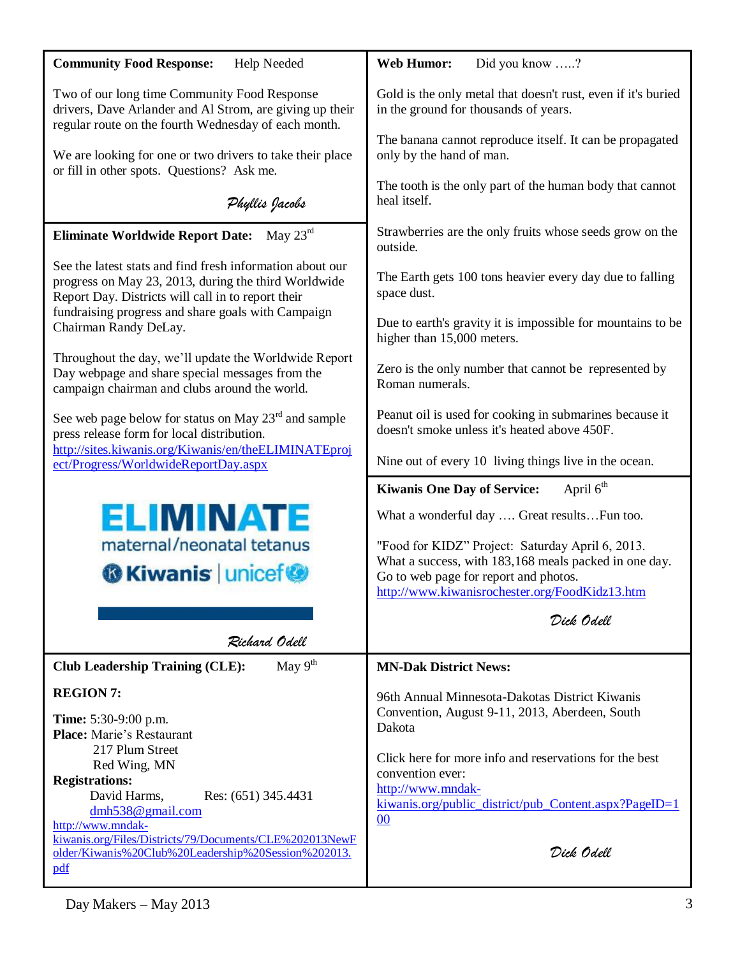| <b>Community Food Response:</b><br>Help Needed                                                                                                                          | Did you know ?<br><b>Web Humor:</b>                                                                     |  |  |
|-------------------------------------------------------------------------------------------------------------------------------------------------------------------------|---------------------------------------------------------------------------------------------------------|--|--|
| Two of our long time Community Food Response<br>drivers, Dave Arlander and Al Strom, are giving up their<br>regular route on the fourth Wednesday of each month.        | Gold is the only metal that doesn't rust, even if it's buried<br>in the ground for thousands of years.  |  |  |
| We are looking for one or two drivers to take their place<br>or fill in other spots. Questions? Ask me.                                                                 | The banana cannot reproduce itself. It can be propagated<br>only by the hand of man.                    |  |  |
| Phyllis Jacobs                                                                                                                                                          | The tooth is the only part of the human body that cannot<br>heal itself.                                |  |  |
| May $23^{\text{rd}}$<br><b>Eliminate Worldwide Report Date:</b>                                                                                                         | Strawberries are the only fruits whose seeds grow on the<br>outside.                                    |  |  |
| See the latest stats and find fresh information about our<br>progress on May 23, 2013, during the third Worldwide<br>Report Day. Districts will call in to report their | The Earth gets 100 tons heavier every day due to falling<br>space dust.                                 |  |  |
| fundraising progress and share goals with Campaign<br>Chairman Randy DeLay.                                                                                             | Due to earth's gravity it is impossible for mountains to be<br>higher than 15,000 meters.               |  |  |
| Throughout the day, we'll update the Worldwide Report<br>Day webpage and share special messages from the<br>campaign chairman and clubs around the world.               | Zero is the only number that cannot be represented by<br>Roman numerals.                                |  |  |
| See web page below for status on May 23 <sup>rd</sup> and sample<br>press release form for local distribution.                                                          | Peanut oil is used for cooking in submarines because it<br>doesn't smoke unless it's heated above 450F. |  |  |
| http://sites.kiwanis.org/Kiwanis/en/theELIMINATEproj<br>ect/Progress/WorldwideReportDay.aspx                                                                            | Nine out of every 10 living things live in the ocean.                                                   |  |  |
|                                                                                                                                                                         | April 6 <sup>th</sup><br><b>Kiwanis One Day of Service:</b>                                             |  |  |
| <b>ELIMINATE</b>                                                                                                                                                        | What a wonderful day  Great resultsFun too.                                                             |  |  |
| maternal/neonatal tetanus                                                                                                                                               | "Food for KIDZ" Project: Saturday April 6, 2013.                                                        |  |  |
| <b>G</b> Kiwanis   unicef <sup>®</sup>                                                                                                                                  | What a success, with 183,168 meals packed in one day.<br>Go to web page for report and photos.          |  |  |
|                                                                                                                                                                         | http://www.kiwanisrochester.org/FoodKidz13.htm                                                          |  |  |
|                                                                                                                                                                         | Dick Odell                                                                                              |  |  |
| Richard Odell                                                                                                                                                           |                                                                                                         |  |  |
| May $9th$<br><b>Club Leadership Training (CLE):</b>                                                                                                                     | <b>MN-Dak District News:</b>                                                                            |  |  |
| <b>REGION 7:</b>                                                                                                                                                        | 96th Annual Minnesota-Dakotas District Kiwanis                                                          |  |  |
| <b>Time:</b> 5:30-9:00 p.m.<br><b>Place:</b> Marie's Restaurant                                                                                                         | Convention, August 9-11, 2013, Aberdeen, South<br>Dakota                                                |  |  |
| 217 Plum Street<br>Red Wing, MN                                                                                                                                         | Click here for more info and reservations for the best                                                  |  |  |
| <b>Registrations:</b>                                                                                                                                                   | convention ever:                                                                                        |  |  |
| David Harms,<br>Res: (651) 345.4431<br>dmh538@gmail.com                                                                                                                 | http://www.mndak-<br>kiwanis.org/public_district/pub_Content.aspx?PageID=1                              |  |  |
| http://www.mndak-<br>kiwanis.org/Files/Districts/79/Documents/CLE%202013NewF                                                                                            | 00                                                                                                      |  |  |